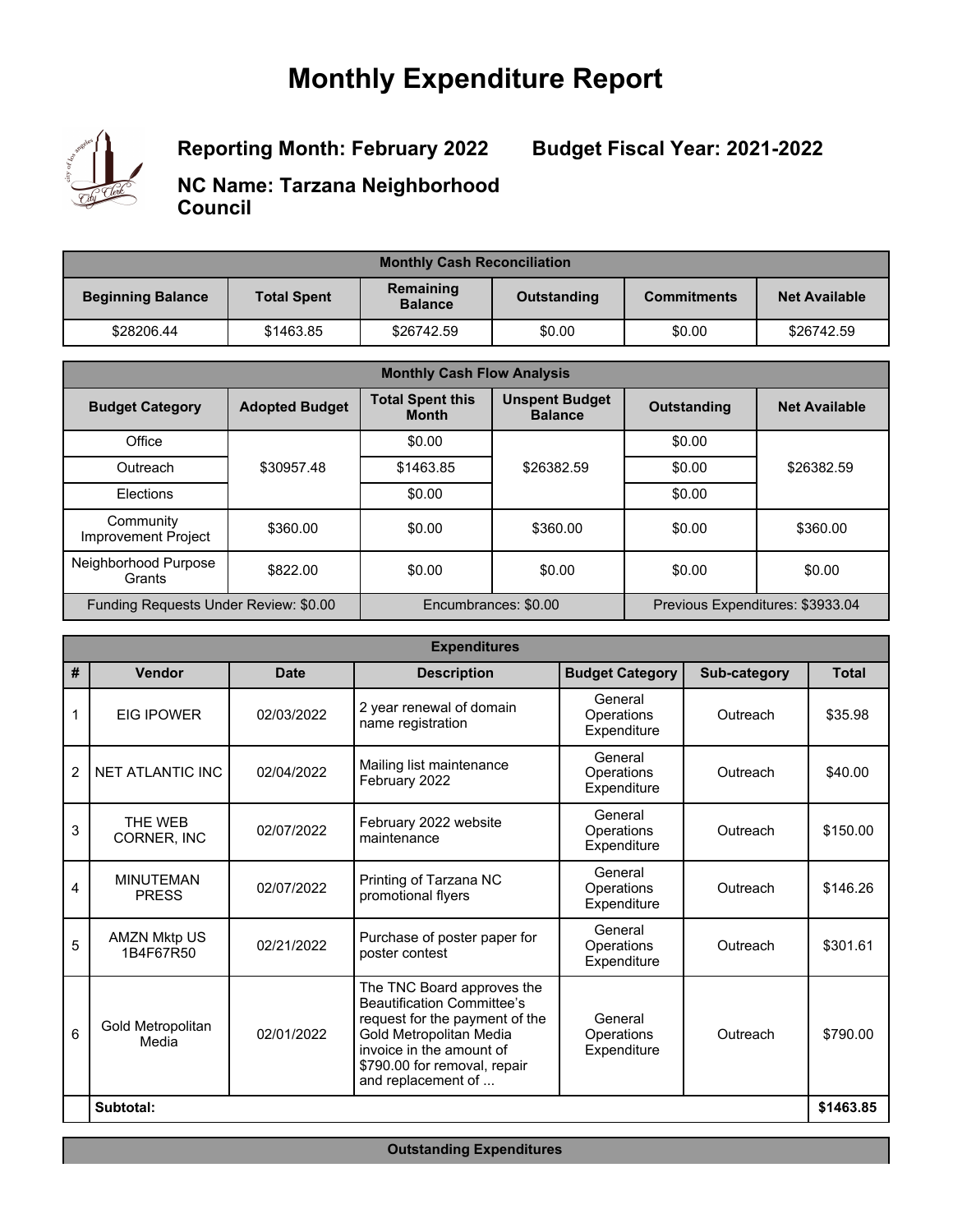# **Monthly Expenditure Report**



**Reporting Month: February 2022**

**Budget Fiscal Year: 2021-2022**

**NC Name: Tarzana Neighborhood Council**

| <b>Monthly Cash Reconciliation</b> |                    |                             |             |                    |                      |
|------------------------------------|--------------------|-----------------------------|-------------|--------------------|----------------------|
| <b>Beginning Balance</b>           | <b>Total Spent</b> | Remaining<br><b>Balance</b> | Outstanding | <b>Commitments</b> | <b>Net Available</b> |
| \$28206.44                         | \$1463.85          | \$26742.59                  | \$0.00      | \$0.00             | \$26742.59           |

| <b>Monthly Cash Flow Analysis</b>     |                       |                                         |                                         |                                  |                      |
|---------------------------------------|-----------------------|-----------------------------------------|-----------------------------------------|----------------------------------|----------------------|
| <b>Budget Category</b>                | <b>Adopted Budget</b> | <b>Total Spent this</b><br><b>Month</b> | <b>Unspent Budget</b><br><b>Balance</b> | <b>Outstanding</b>               | <b>Net Available</b> |
| Office                                |                       | \$0.00                                  |                                         | \$0.00                           |                      |
| Outreach                              | \$30957.48            | \$1463.85                               | \$26382.59                              | \$0.00                           | \$26382.59           |
| Elections                             |                       | \$0.00                                  |                                         | \$0.00                           |                      |
| Community<br>Improvement Project      | \$360.00              | \$0.00                                  | \$360.00                                | \$0.00                           | \$360.00             |
| Neighborhood Purpose<br>Grants        | \$822.00              | \$0.00                                  | \$0.00                                  | \$0.00                           | \$0.00               |
| Funding Requests Under Review: \$0.00 |                       | Encumbrances: \$0.00                    |                                         | Previous Expenditures: \$3933.04 |                      |

| <b>Expenditures</b> |                                  |             |                                                                                                                                                                                                                |                                                  |              |              |
|---------------------|----------------------------------|-------------|----------------------------------------------------------------------------------------------------------------------------------------------------------------------------------------------------------------|--------------------------------------------------|--------------|--------------|
| #                   | Vendor                           | <b>Date</b> | <b>Description</b>                                                                                                                                                                                             | <b>Budget Category</b>                           | Sub-category | <b>Total</b> |
| 1                   | <b>FIG IPOWER</b>                | 02/03/2022  | 2 year renewal of domain<br>name registration                                                                                                                                                                  | General<br>Operations<br>Expenditure             | Outreach     | \$35.98      |
| $\overline{2}$      | <b>NET ATLANTIC INC</b>          | 02/04/2022  | Mailing list maintenance<br>February 2022                                                                                                                                                                      | General<br>Operations<br>Outreach<br>Expenditure |              | \$40.00      |
| 3                   | THF WFB<br><b>CORNER. INC</b>    | 02/07/2022  | February 2022 website<br>maintenance                                                                                                                                                                           | General<br>Operations<br>Expenditure             | Outreach     | \$150.00     |
| 4                   | <b>MINUTEMAN</b><br><b>PRESS</b> | 02/07/2022  | Printing of Tarzana NC<br>promotional flyers                                                                                                                                                                   | General<br>Operations<br>Expenditure             | Outreach     | \$146.26     |
| 5                   | <b>AMZN Mktp US</b><br>1B4F67R50 | 02/21/2022  | Purchase of poster paper for<br>poster contest                                                                                                                                                                 | General<br>Operations<br>Expenditure             | Outreach     | \$301.61     |
| 6                   | Gold Metropolitan<br>Media       | 02/01/2022  | The TNC Board approves the<br><b>Beautification Committee's</b><br>request for the payment of the<br>Gold Metropolitan Media<br>invoice in the amount of<br>\$790.00 for removal, repair<br>and replacement of | General<br>Operations<br>Expenditure             | Outreach     | \$790.00     |
|                     | Subtotal:                        |             |                                                                                                                                                                                                                |                                                  |              | \$1463.85    |

**Outstanding Expenditures**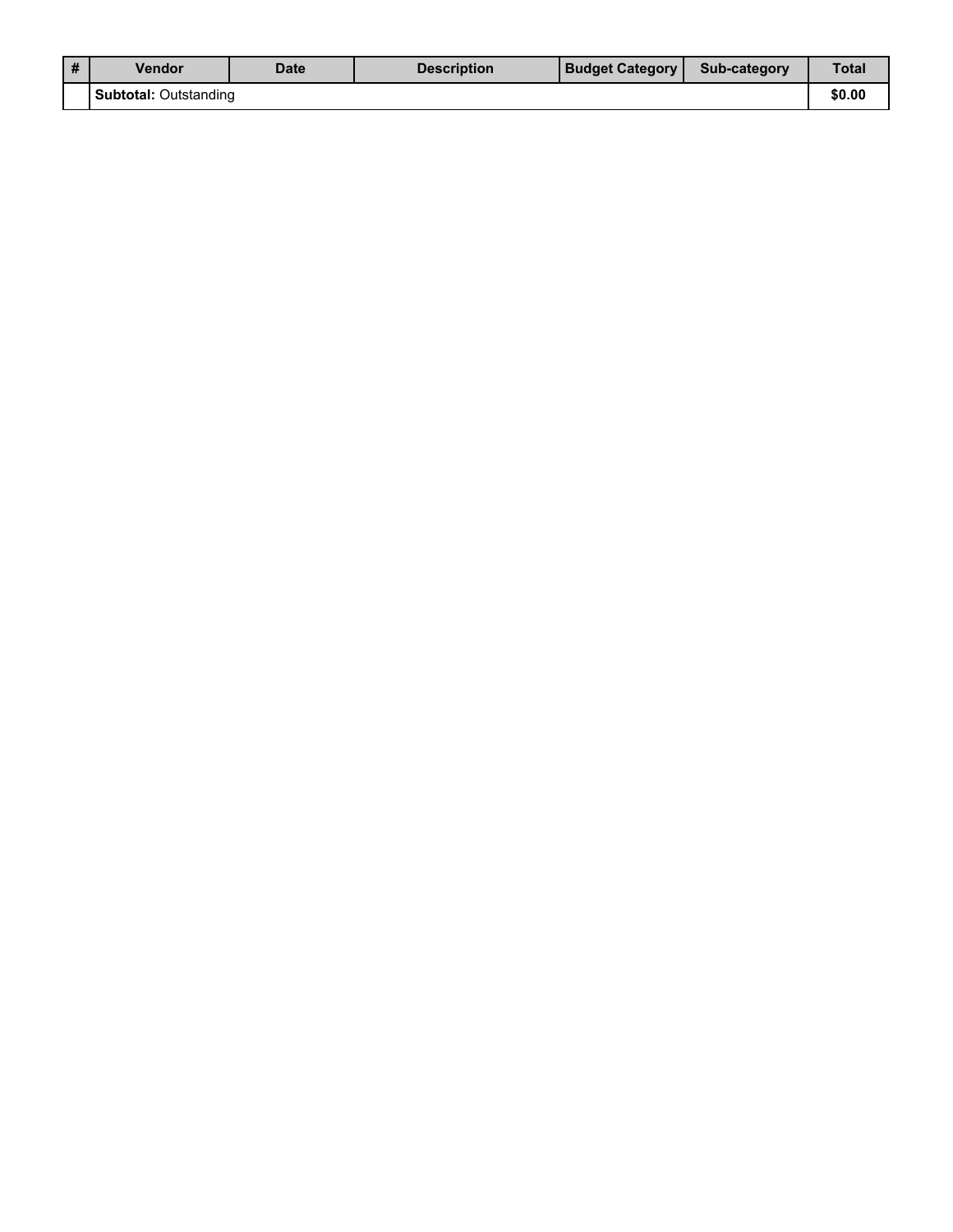| # | <b>Vendor</b>                | <b>Date</b> | <b>Description</b> | <b>Budget Category</b> | Sub-category | Total  |
|---|------------------------------|-------------|--------------------|------------------------|--------------|--------|
|   | <b>Subtotal: Outstanding</b> |             |                    |                        |              | \$0.00 |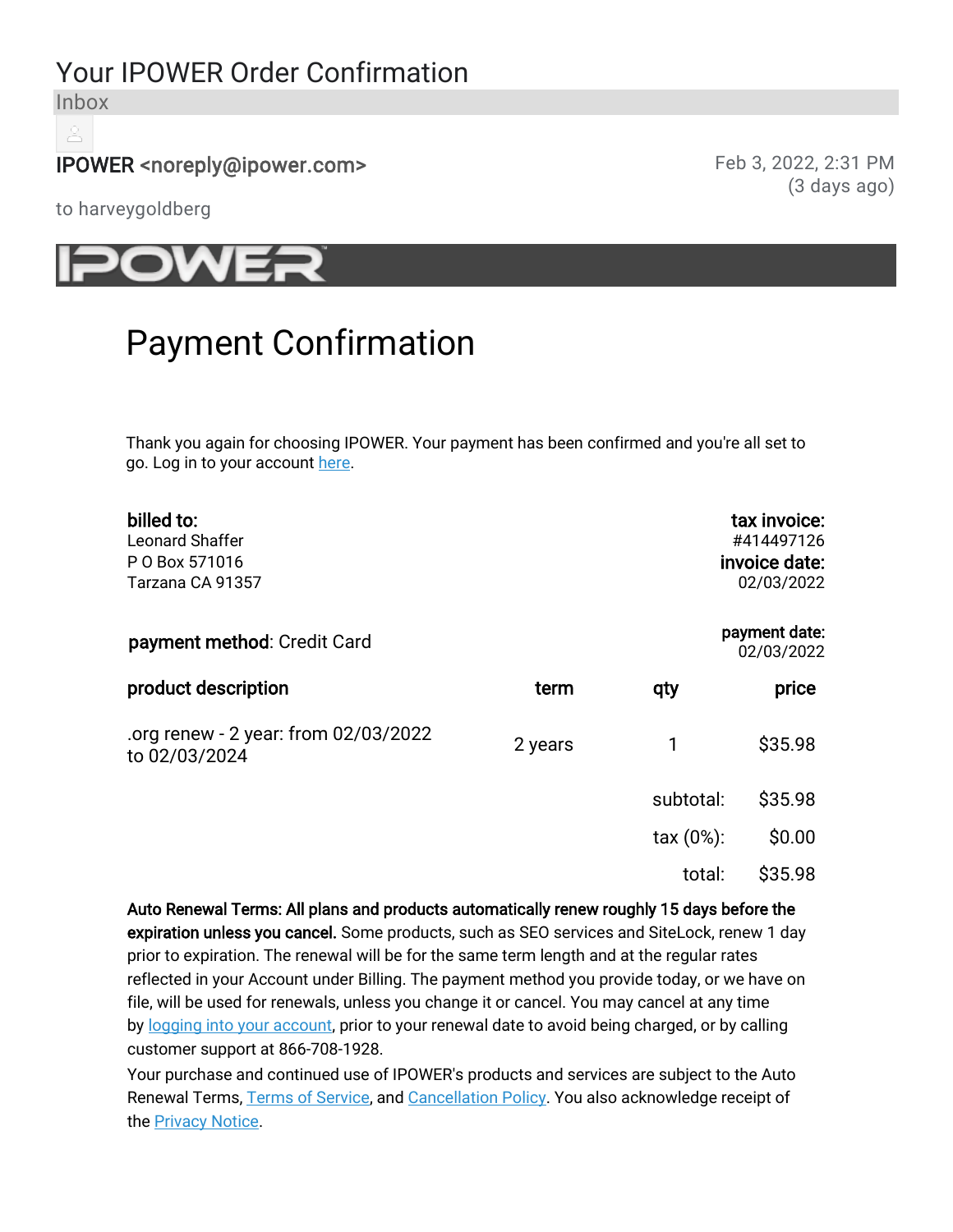# Your IPOWER Order Confirmation

Inbox

## IPOWER <noreply@ipower.com> Feb 3, 2022, 2:31 PM

(3 days ago)

to harveygoldberg



# Payment Confirmation

Thank you again for choosing IPOWER. Your payment has been confirmed and you're all set to go. Log in to your account here.

| billed to:<br><b>Leonard Shaffer</b><br>P O Box 571016<br>Tarzana CA 91357 |         |                     | tax invoice:<br>#414497126<br>invoice date:<br>02/03/2022 |
|----------------------------------------------------------------------------|---------|---------------------|-----------------------------------------------------------|
| payment method: Credit Card                                                |         |                     | payment date:<br>02/03/2022                               |
| product description                                                        | term    | qty                 | price                                                     |
| .org renew - 2 year: from 02/03/2022<br>to 02/03/2024                      | 2 years | 1                   | \$35.98                                                   |
|                                                                            |         | subtotal:           | \$35.98                                                   |
|                                                                            |         | $\text{tax}(0\%)$ : | \$0.00                                                    |
|                                                                            |         | total:              | \$35.98                                                   |
|                                                                            |         |                     |                                                           |

Auto Renewal Terms: All plans and products automatically renew roughly 15 days before the expiration unless you cancel. Some products, such as SEO services and SiteLock, renew 1 day prior to expiration. The renewal will be for the same term length and at the regular rates reflected in your Account under Billing. The payment method you provide today, or we have on file, will be used for renewals, unless you change it or cancel. You may cancel at any time by logging into your account, prior to your renewal date to avoid being charged, or by calling customer support at 866-708-1928.

Your purchase and continued use of IPOWER's products and services are subject to the Auto Renewal Terms, Terms of Service, and Cancellation Policy. You also acknowledge receipt of the Privacy Notice.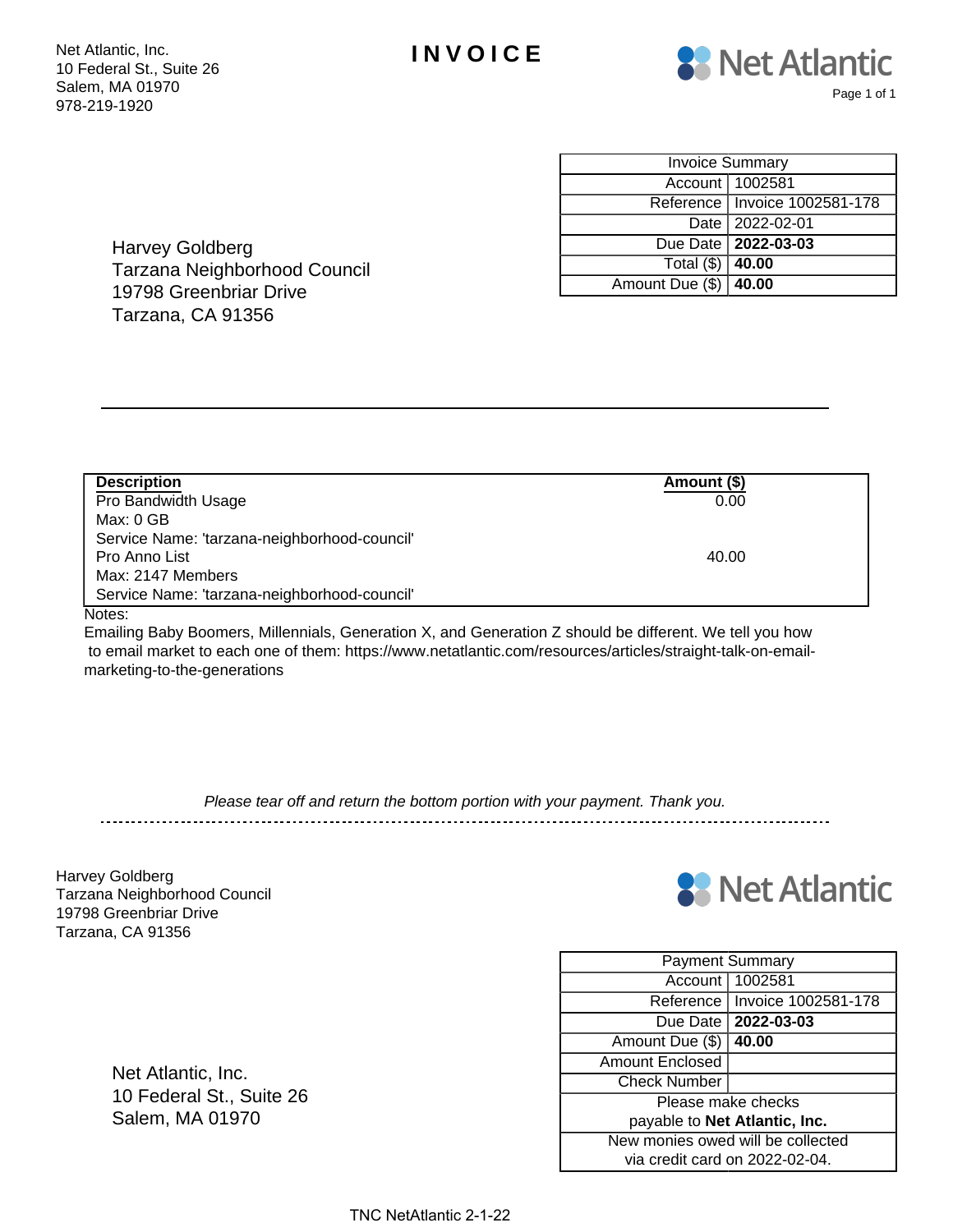



| <b>Invoice Summary</b>      |                                 |  |  |  |
|-----------------------------|---------------------------------|--|--|--|
|                             | Account   1002581               |  |  |  |
|                             | Reference   Invoice 1002581-178 |  |  |  |
|                             | Date 2022-02-01                 |  |  |  |
|                             | Due Date   2022-03-03           |  |  |  |
| Total $(\frac{6}{9})$ 40.00 |                                 |  |  |  |
| Amount Due (\$)   40.00     |                                 |  |  |  |

Harvey Goldberg Tarzana Neighborhood Council 19798 Greenbriar Drive Tarzana, CA 91356

| <b>Description</b>                           | Amount (\$) |
|----------------------------------------------|-------------|
| Pro Bandwidth Usage                          | 0.00        |
| Max: 0 GB                                    |             |
| Service Name: 'tarzana-neighborhood-council' |             |
| Pro Anno List                                | 40.00       |
| Max: 2147 Members                            |             |
| Service Name: 'tarzana-neighborhood-council' |             |

#### Notes:

Emailing Baby Boomers, Millennials, Generation X, and Generation Z should be different. We tell you how to email market to each one of them: https://www.netatlantic.com/resources/articles/straight-talk-on-emailmarketing-to-the-generations

Please tear off and return the bottom portion with your payment. Thank you.

Harvey Goldberg Tarzana Neighborhood Council 19798 Greenbriar Drive Tarzana, CA 91356



| <b>Payment Summary</b>            |                       |  |  |  |
|-----------------------------------|-----------------------|--|--|--|
| Account                           | 1002581               |  |  |  |
| Reference                         | Invoice 1002581-178   |  |  |  |
|                                   | Due Date   2022-03-03 |  |  |  |
| Amount Due (\$)                   | 40.00                 |  |  |  |
| <b>Amount Enclosed</b>            |                       |  |  |  |
| <b>Check Number</b>               |                       |  |  |  |
| Please make checks                |                       |  |  |  |
| payable to Net Atlantic, Inc.     |                       |  |  |  |
| New monies owed will be collected |                       |  |  |  |
| via credit card on 2022-02-04.    |                       |  |  |  |

Net Atlantic, Inc. 10 Federal St., Suite 26 Salem, MA 01970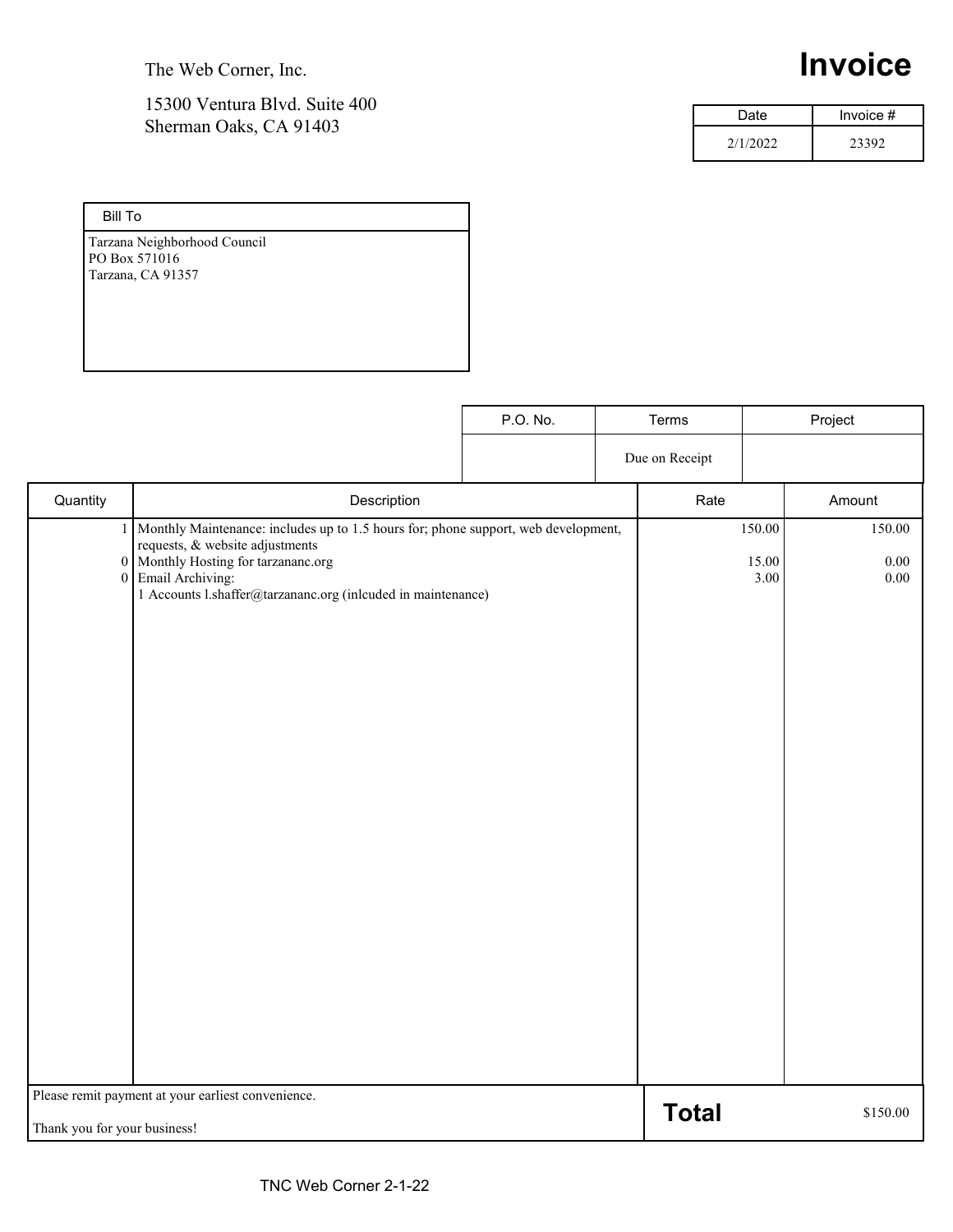The Web Corner, Inc.

## 15300 Ventura Blvd. Suite 400 Sherman Oaks, CA 91403

# **Invoice**

| Date     | Invoice $#$ |
|----------|-------------|
| 2/1/2022 | 23392       |

| <b>Bill To</b>               |
|------------------------------|
| Tarzana Neighborhood Council |
| PO Box 571016                |
| Tarzana, CA 91357            |
|                              |
|                              |
|                              |
|                              |

|                              |                                                                                                                                                                                                                                                    | P.O. No. | Terms          |                         | Project                |
|------------------------------|----------------------------------------------------------------------------------------------------------------------------------------------------------------------------------------------------------------------------------------------------|----------|----------------|-------------------------|------------------------|
|                              |                                                                                                                                                                                                                                                    |          | Due on Receipt |                         |                        |
| Quantity                     | Description                                                                                                                                                                                                                                        |          | Rate           |                         | Amount                 |
| $\mathbf{1}$                 | Monthly Maintenance: includes up to 1.5 hours for; phone support, web development,<br>requests, & website adjustments<br>0 Monthly Hosting for tarzananc.org<br>0 Email Archiving:<br>1 Accounts l.shaffer@tarzananc.org (inlcuded in maintenance) |          |                | 150.00<br>15.00<br>3.00 | 150.00<br>0.00<br>0.00 |
| Thank you for your business! | Please remit payment at your earliest convenience.                                                                                                                                                                                                 |          | <b>Total</b>   |                         | \$150.00               |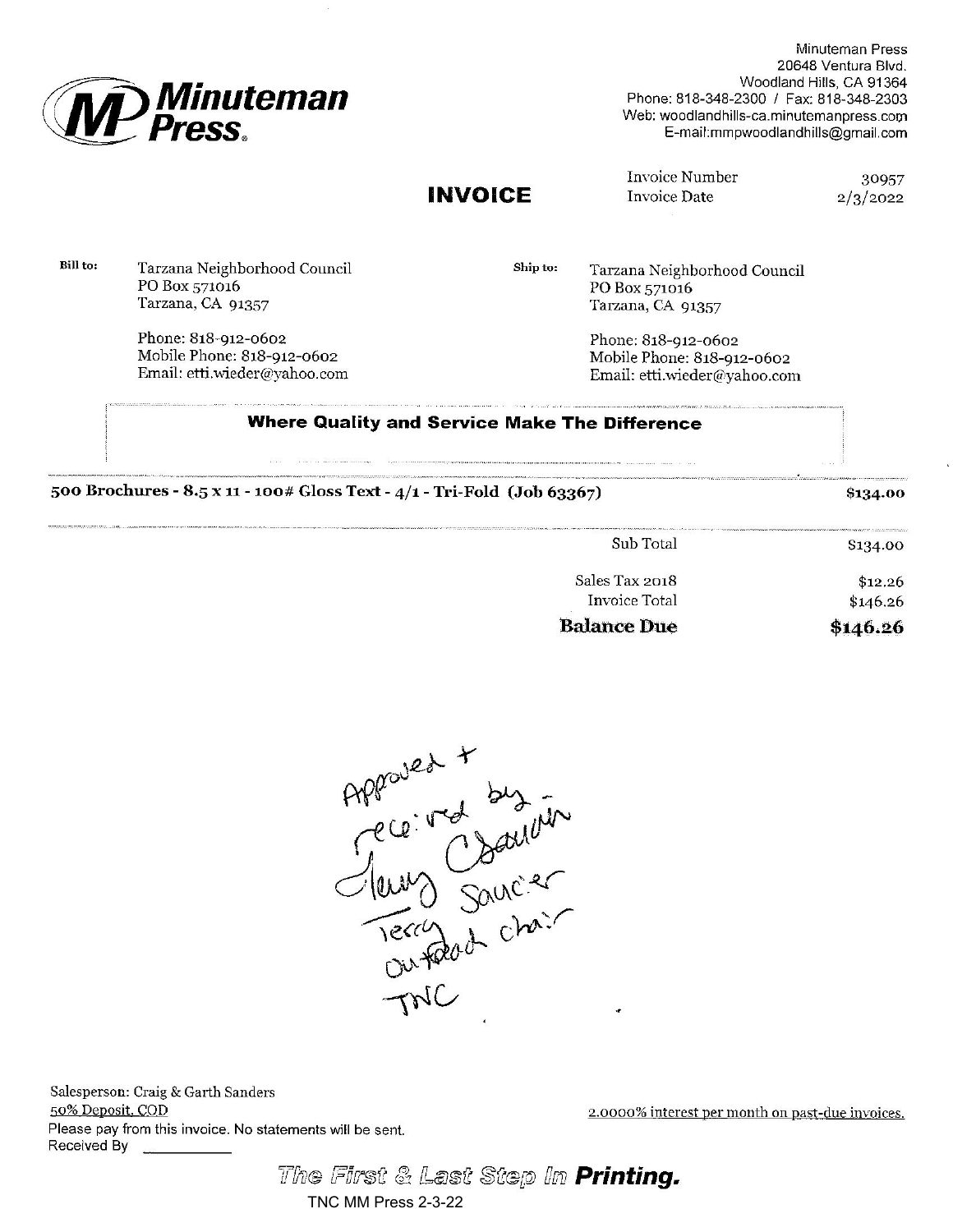

Minuteman Press 20648 Ventura Blvd. Woodland Hills, CA 91364 Phone: 818-348-2300 / Fax: 818-348-2303 Web: woodlandhills-ca.minutemanpress.com E-mail:mmpwoodlandhills@gmail.com

## **INVOICE**

Invoice Number **Invoice Date** 

30957  $2/3/2022$ 

Bill to: Tarzana Neighborhood Council PO Box 571016 Tarzana, CA 91357

> Phone: 818-912-0602 Mobile Phone: 818-912-0602 Email: etti.wieder@yahoo.com

Ship to: Tarzana Neighborhood Council PO Box 571016 Tarzana, CA 91357

> Phone: 818-912-0602 Mobile Phone: 818-912-0602 Email: etti.wieder@yahoo.com

### **Where Quality and Service Make The Difference**

|  |  | 500 Brochures - 8.5 x 11 - 100# Gloss Text - 4/1 - Tri-Fold (Job 63367) |  |
|--|--|-------------------------------------------------------------------------|--|
|--|--|-------------------------------------------------------------------------|--|

\$134.00

| Sales Tax 2018<br>Invoice Total |
|---------------------------------|
| <b>Balance Due</b>              |
|                                 |



Salesperson: Craig & Garth Sanders 50% Deposit, COD Please pay from this invoice. No statements will be sent. Received By

2.0000% interest per month on past-due invoices.

The First & Last Step In Printing.

## TNC MM Press 2-3-22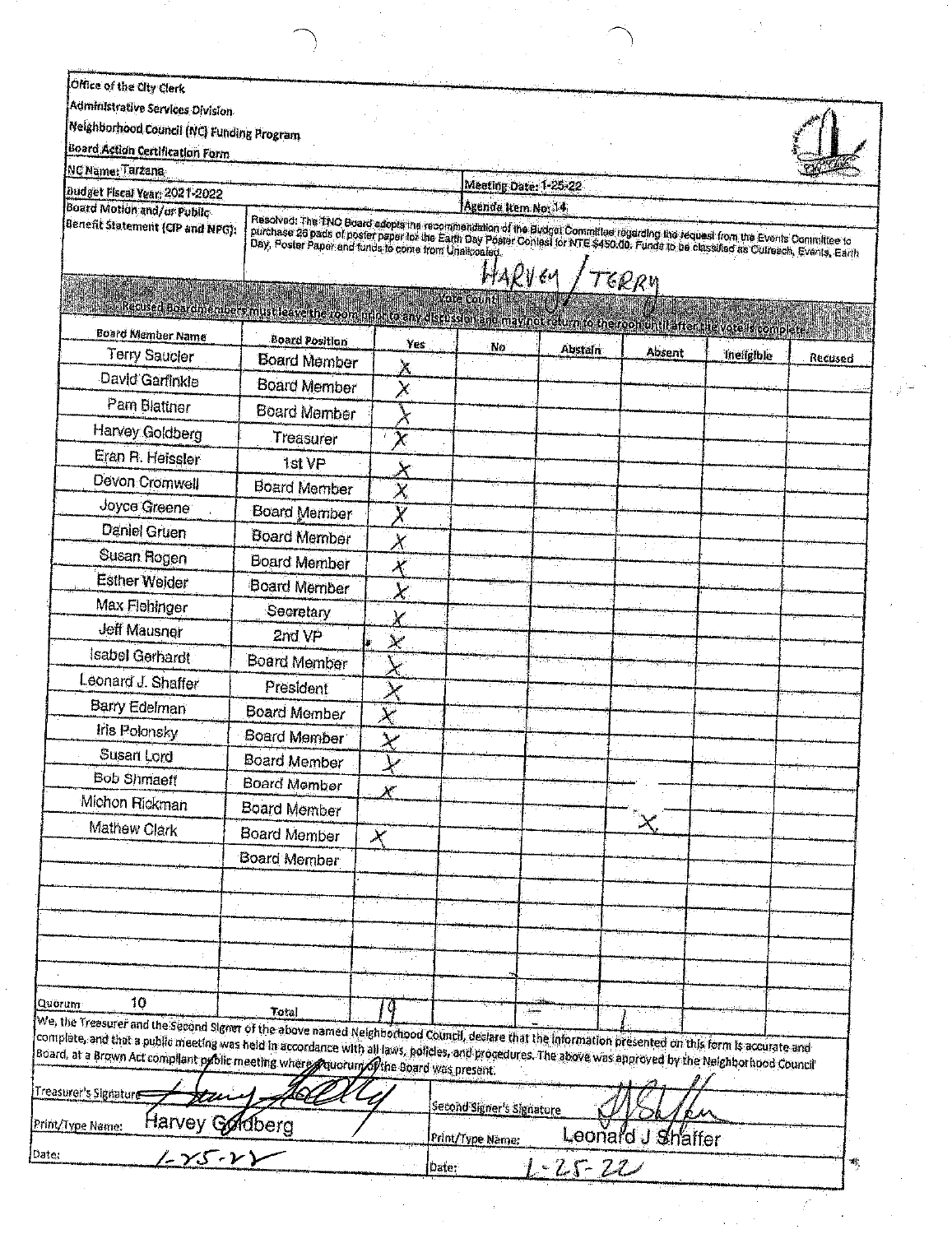| Office of the City Clerk                                                                                                                                                                                                                                                                                       |                                                                                                                                                                                                                                    |                                                                                                                                                    |                                  |                |                   |            |         |
|----------------------------------------------------------------------------------------------------------------------------------------------------------------------------------------------------------------------------------------------------------------------------------------------------------------|------------------------------------------------------------------------------------------------------------------------------------------------------------------------------------------------------------------------------------|----------------------------------------------------------------------------------------------------------------------------------------------------|----------------------------------|----------------|-------------------|------------|---------|
| Administrative Services Division                                                                                                                                                                                                                                                                               |                                                                                                                                                                                                                                    |                                                                                                                                                    |                                  |                |                   |            |         |
| Neighborhood Council (NC) Funding Program                                                                                                                                                                                                                                                                      |                                                                                                                                                                                                                                    |                                                                                                                                                    |                                  |                |                   |            |         |
| Board Action Certification Form                                                                                                                                                                                                                                                                                |                                                                                                                                                                                                                                    |                                                                                                                                                    |                                  |                |                   |            |         |
| NC Name: Tarzana                                                                                                                                                                                                                                                                                               |                                                                                                                                                                                                                                    |                                                                                                                                                    | Meeting Date: 1-25-22            |                |                   |            |         |
| Budget Fiscal Vear: 2021-2022<br>Board Motion and/or Public                                                                                                                                                                                                                                                    |                                                                                                                                                                                                                                    |                                                                                                                                                    | Agenda item No. 14               |                |                   |            |         |
| Benefit Statement (CIP and NPG):                                                                                                                                                                                                                                                                               | Resolved: The TNC Board adopts the recommendation of the Budget Committee regarding the request from the Events Committee to<br>purchase 26 pads of poster paper tos the Earth Day Poster Contest for NTE \$450.00. Funds to be cl |                                                                                                                                                    |                                  |                |                   |            |         |
|                                                                                                                                                                                                                                                                                                                |                                                                                                                                                                                                                                    |                                                                                                                                                    |                                  |                |                   |            |         |
|                                                                                                                                                                                                                                                                                                                |                                                                                                                                                                                                                                    |                                                                                                                                                    | HARV 64                          |                | TERRY             |            |         |
|                                                                                                                                                                                                                                                                                                                |                                                                                                                                                                                                                                    |                                                                                                                                                    | Vote Count                       |                |                   |            |         |
| <b>Board Member Name</b>                                                                                                                                                                                                                                                                                       | Recused boardmembers must leave the room uniquo any discussion anomay not return to the roomuntil after the vote is complete.                                                                                                      |                                                                                                                                                    |                                  |                |                   |            |         |
| <b>Terry Saucler</b>                                                                                                                                                                                                                                                                                           | <b>Board Position</b><br><b>Board Member</b>                                                                                                                                                                                       | Yes                                                                                                                                                | No                               | <b>Abstain</b> | Absent            | ineligible | Recused |
| David Garfinkle                                                                                                                                                                                                                                                                                                | <b>Board Member</b>                                                                                                                                                                                                                |                                                                                                                                                    |                                  |                |                   |            |         |
| Pam Blattner                                                                                                                                                                                                                                                                                                   | Board Member                                                                                                                                                                                                                       |                                                                                                                                                    |                                  |                |                   |            |         |
| Harvey Goldberg                                                                                                                                                                                                                                                                                                | Treasurer                                                                                                                                                                                                                          | $\chi$                                                                                                                                             |                                  |                |                   |            |         |
| Eran R. Heissler                                                                                                                                                                                                                                                                                               |                                                                                                                                                                                                                                    |                                                                                                                                                    |                                  |                |                   |            |         |
| Devon Cromwell                                                                                                                                                                                                                                                                                                 | 1st VP<br>Board Member                                                                                                                                                                                                             | $\mathsf{X}% _{T}=\mathsf{X}_{T}\!\left( a,b\right) ,\mathsf{Y}=\mathsf{Y}_{T}\!\left( a,b\right) ,\mathsf{Y}=\mathsf{Y}_{T}\!\left( a,b\right) ,$ |                                  |                |                   |            |         |
| Joyce Greene                                                                                                                                                                                                                                                                                                   | Board Member                                                                                                                                                                                                                       | $\boldsymbol{\times}$                                                                                                                              |                                  |                |                   |            |         |
| <b>Daniel Gruen</b>                                                                                                                                                                                                                                                                                            | Board Member                                                                                                                                                                                                                       | X                                                                                                                                                  |                                  |                |                   |            |         |
| Susan Rogen                                                                                                                                                                                                                                                                                                    | <b>Board Member</b>                                                                                                                                                                                                                | Ж                                                                                                                                                  |                                  |                |                   |            |         |
| <b>Esther Weider</b>                                                                                                                                                                                                                                                                                           | <b>Board Member</b>                                                                                                                                                                                                                | X                                                                                                                                                  |                                  |                |                   |            |         |
| Max Flehinger                                                                                                                                                                                                                                                                                                  | Secretary                                                                                                                                                                                                                          | $\chi$                                                                                                                                             |                                  |                |                   |            |         |
| <b>Jeff Mausner</b>                                                                                                                                                                                                                                                                                            | 2nd VP                                                                                                                                                                                                                             |                                                                                                                                                    |                                  |                |                   |            |         |
| Isabel Gerhardt                                                                                                                                                                                                                                                                                                | Board Member                                                                                                                                                                                                                       | سلا                                                                                                                                                |                                  |                |                   |            |         |
| Leonard J. Shaffer                                                                                                                                                                                                                                                                                             |                                                                                                                                                                                                                                    |                                                                                                                                                    |                                  |                |                   |            |         |
| Barry Edelman                                                                                                                                                                                                                                                                                                  | President<br><b>Board Member</b>                                                                                                                                                                                                   | $\times$                                                                                                                                           |                                  |                |                   |            |         |
| Iris Polonsky                                                                                                                                                                                                                                                                                                  | <b>Board Member</b>                                                                                                                                                                                                                | $\overline{\mathbf{x}}$                                                                                                                            |                                  |                |                   |            |         |
| Susan Lord                                                                                                                                                                                                                                                                                                     | Board Member                                                                                                                                                                                                                       | $\chi$                                                                                                                                             |                                  |                |                   |            |         |
| <b>Bob Shmaeff</b>                                                                                                                                                                                                                                                                                             | Board Member                                                                                                                                                                                                                       |                                                                                                                                                    |                                  |                |                   |            |         |
| Michon Rickman                                                                                                                                                                                                                                                                                                 | Board Member                                                                                                                                                                                                                       | $\chi^{\mu}$                                                                                                                                       |                                  |                |                   |            |         |
| Mathew Clark                                                                                                                                                                                                                                                                                                   | Board Member                                                                                                                                                                                                                       |                                                                                                                                                    |                                  |                | $\times$          |            |         |
|                                                                                                                                                                                                                                                                                                                | <b>Board Member</b>                                                                                                                                                                                                                | $\star$                                                                                                                                            |                                  |                |                   |            |         |
|                                                                                                                                                                                                                                                                                                                |                                                                                                                                                                                                                                    |                                                                                                                                                    |                                  |                |                   |            |         |
|                                                                                                                                                                                                                                                                                                                |                                                                                                                                                                                                                                    |                                                                                                                                                    |                                  |                |                   |            |         |
|                                                                                                                                                                                                                                                                                                                |                                                                                                                                                                                                                                    |                                                                                                                                                    |                                  |                |                   |            |         |
|                                                                                                                                                                                                                                                                                                                |                                                                                                                                                                                                                                    |                                                                                                                                                    |                                  |                |                   |            |         |
|                                                                                                                                                                                                                                                                                                                |                                                                                                                                                                                                                                    |                                                                                                                                                    |                                  |                |                   |            |         |
| 10<br>Quorum                                                                                                                                                                                                                                                                                                   |                                                                                                                                                                                                                                    |                                                                                                                                                    |                                  |                |                   |            |         |
|                                                                                                                                                                                                                                                                                                                | Total                                                                                                                                                                                                                              |                                                                                                                                                    | فيفين                            |                |                   |            |         |
| We, the Treasurer and the Second Signer of the above named Neighborhood Countil, declare that the information presented on this form is accurate and<br>complete, and that a public meeting was held in accordance with all laws, policies, and procedures. The above was approved by the Neighborhood Council |                                                                                                                                                                                                                                    |                                                                                                                                                    |                                  |                |                   |            |         |
| Board, at a Brown Act compilant poblic meeting where provincing of the Board was present.                                                                                                                                                                                                                      |                                                                                                                                                                                                                                    |                                                                                                                                                    |                                  |                |                   |            |         |
| Treasurer's Signature                                                                                                                                                                                                                                                                                          |                                                                                                                                                                                                                                    |                                                                                                                                                    |                                  |                |                   |            |         |
| Print/Type Name:                                                                                                                                                                                                                                                                                               |                                                                                                                                                                                                                                    |                                                                                                                                                    | <b>Second Signer's Signature</b> |                |                   |            |         |
| Harvey Goldberg                                                                                                                                                                                                                                                                                                |                                                                                                                                                                                                                                    |                                                                                                                                                    | Print/Type Name:                 |                | Leonard J Shaffer |            |         |
|                                                                                                                                                                                                                                                                                                                |                                                                                                                                                                                                                                    | Date:                                                                                                                                              |                                  | 1-25-22        |                   |            |         |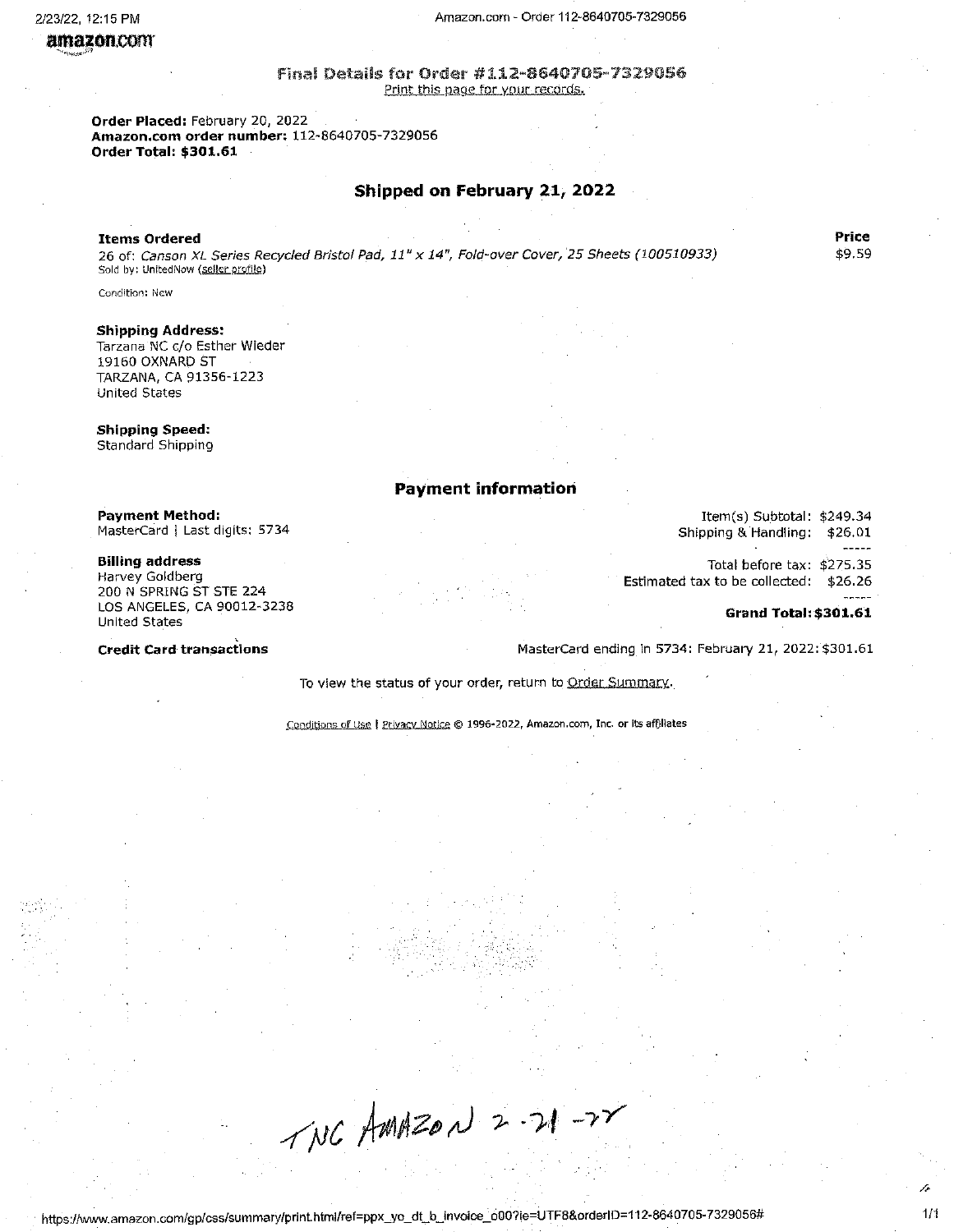#### Amazon.com - Order 112-8640705-7329056

#### Final Details for Order #112-8640705-7329056 Print this page for your records.

Order Placed: February 20, 2022 Amazon.com order number: 112-8640705-7329056 Order Total: \$301.61

#### Shipped on February 21, 2022

#### **Items Ordered**

26 of: Canson XL Series Recycled Bristol Pad, 11" x 14", Fold-over Cover, 25 Sheets (100510933) Sold by: UnitedNow (seller profile)

Condition: New

#### **Shipping Address:**

Tarzana NC c/o Esther Wieder 19160 OXNARD ST TARZANA, CA 91356-1223 United States

### **Shipping Speed:**

Standard Shipping

#### **Payment information**

**Payment Method:** MasterCard | Last digits: 5734

#### **Billing address**

Harvey Goldberg 200 N SPRING ST STE 224 LOS ANGELES, CA 90012-3238 **United States** 

**Credit Card transactions** 

Item(s) Subtotal: \$249.34 Shipping & Handling: \$26.01 Total before tax: \$275.35

Estimated tax to be collected: \$26.26

#### **Grand Total: \$301.61**

MasterCard ending in 5734: February 21, 2022: \$301.61

To view the status of your order, return to Order Summary.

Conditions of Use | Privacy Notice © 1996-2022, Amazon.com, Inc. or its affiliates

 $TNC$  AMAZON 2-21-28

Price \$9.59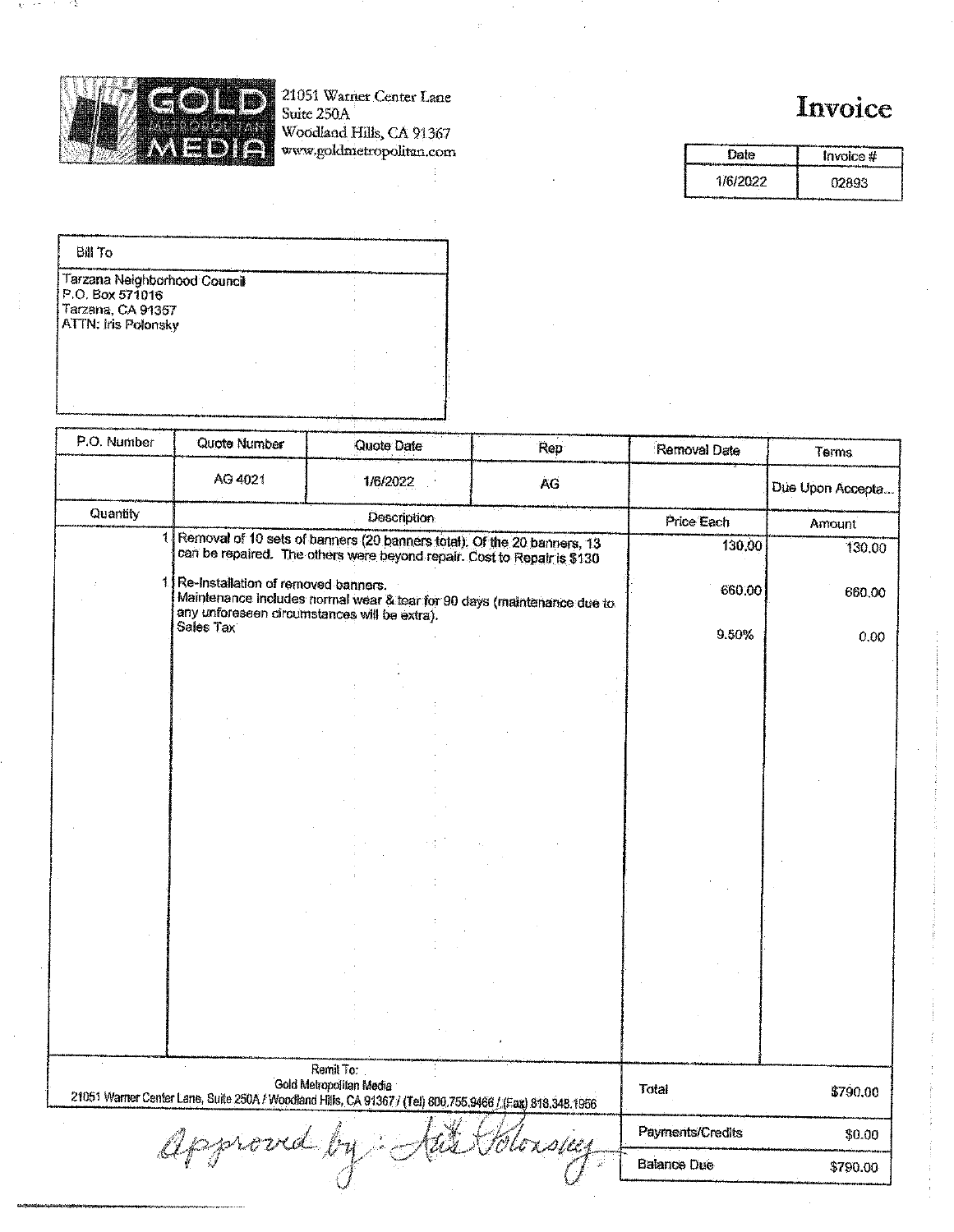

 $\mathbf{Q}$  $\sim$   $\sigma$  -12

21051 Warner Center Lane<br>Suite 250A<br>Woodland Hills, CA 91367<br>www.goldmetropolitan.com

# Invoice

Date Invoice# 1/6/2022 02893

| <b>Bill To</b>                                                                              |  |  |
|---------------------------------------------------------------------------------------------|--|--|
| Tarzana Neighborhood Council<br>P.O. Box 571016<br>Tarzana, CA 91357<br>ATTN: Iris Polonsky |  |  |
|                                                                                             |  |  |

| P.O. Number | Quote Number                                                                        | Quote Date                                                                                                                                         | Rep       | Removal Date       | Terms            |
|-------------|-------------------------------------------------------------------------------------|----------------------------------------------------------------------------------------------------------------------------------------------------|-----------|--------------------|------------------|
|             | AG 4021                                                                             | 1/6/2022                                                                                                                                           | <b>AG</b> |                    | Due Upon Accepta |
| Quantity    |                                                                                     | Description                                                                                                                                        |           | Price Each         | Amount           |
|             |                                                                                     | Removal of 10 sets of banners (20 banners total). Of the 20 banners, 13<br>can be repaired. The others were beyond repair. Cost to Repair is \$130 |           | 130,00             | 130.00           |
| 1           | Re-Installation of removed banners.<br>any unforeseen circumstances will be extra). | Maintenance includes normal wear & tear for 90 days (maintenance due to                                                                            |           | 660.00             | 660.00           |
|             | Sales Tax                                                                           |                                                                                                                                                    |           | 9.50%              | 0.00             |
|             |                                                                                     |                                                                                                                                                    |           |                    |                  |
|             |                                                                                     |                                                                                                                                                    |           |                    |                  |
|             |                                                                                     |                                                                                                                                                    |           |                    |                  |
|             |                                                                                     |                                                                                                                                                    |           |                    |                  |
|             |                                                                                     |                                                                                                                                                    |           |                    |                  |
|             |                                                                                     |                                                                                                                                                    |           |                    |                  |
|             |                                                                                     |                                                                                                                                                    |           |                    |                  |
|             |                                                                                     |                                                                                                                                                    |           |                    |                  |
|             |                                                                                     |                                                                                                                                                    |           |                    |                  |
|             |                                                                                     |                                                                                                                                                    |           |                    |                  |
|             |                                                                                     |                                                                                                                                                    |           |                    |                  |
|             |                                                                                     |                                                                                                                                                    |           |                    |                  |
|             |                                                                                     |                                                                                                                                                    |           |                    |                  |
|             |                                                                                     |                                                                                                                                                    |           |                    |                  |
|             |                                                                                     |                                                                                                                                                    |           |                    |                  |
|             |                                                                                     | Remit To:                                                                                                                                          |           |                    |                  |
|             |                                                                                     | Gold Metropolitan Media<br>21051 Warner Center Lane, Suite 250A / Woodland Hills, CA 91367 / (Tel) 800.755.9466 / (Fax) 818,348.1956               |           | Total              | \$790.00         |
|             |                                                                                     |                                                                                                                                                    |           | Payments/Credits   | \$0.00           |
|             | approva l'                                                                          |                                                                                                                                                    |           | <b>Balance Due</b> | \$790.00         |